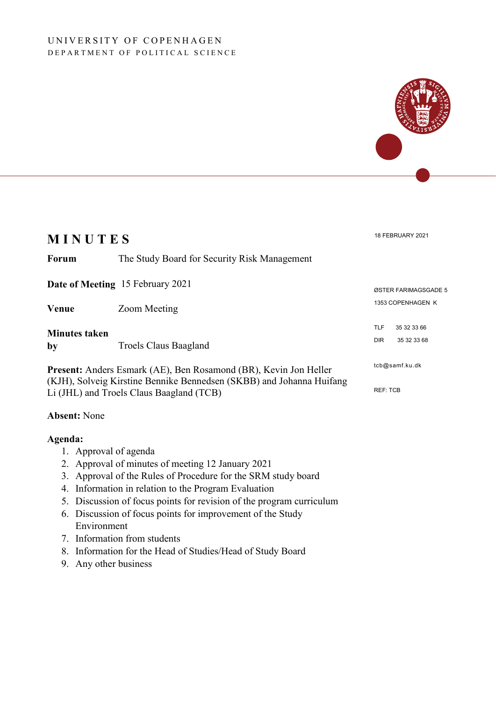### UNIVERSITY OF COPENHAGEN DEPARTMENT OF POLITICAL SCIENCE



## **Absent:** None

#### **Agenda:**

- 1. Approval of agenda
- 2. Approval of minutes of meeting 12 January 2021
- 3. Approval of the Rules of Procedure for the SRM study board
- 4. Information in relation to the Program Evaluation
- 5. Discussion of focus points for revision of the program curriculum
- 6. Discussion of focus points for improvement of the Study Environment
- 7. Information from students
- 8. Information for the Head of Studies/Head of Study Board
- 9. Any other business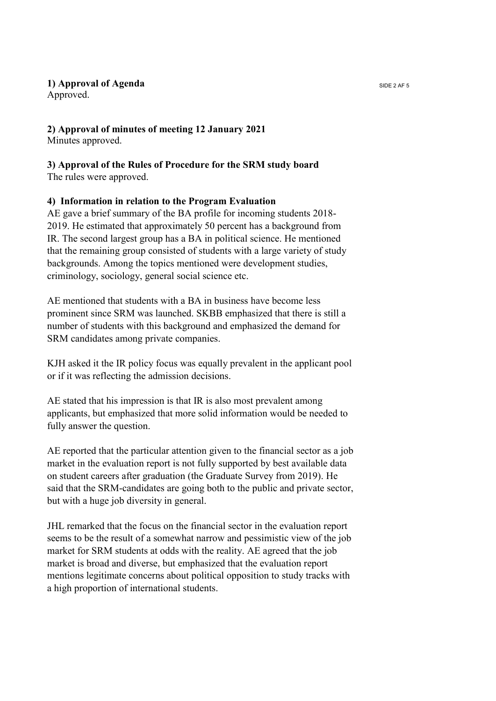## **1) Approval of Agenda** SIDE 2 AF 5

Approved.

# **2) Approval of minutes of meeting 12 January 2021**

Minutes approved.

# **3) Approval of the Rules of Procedure for the SRM study board**

The rules were approved.

# **4) Information in relation to the Program Evaluation**

AE gave a brief summary of the BA profile for incoming students 2018- 2019. He estimated that approximately 50 percent has a background from IR. The second largest group has a BA in political science. He mentioned that the remaining group consisted of students with a large variety of study backgrounds. Among the topics mentioned were development studies, criminology, sociology, general social science etc.

AE mentioned that students with a BA in business have become less prominent since SRM was launched. SKBB emphasized that there is still a number of students with this background and emphasized the demand for SRM candidates among private companies.

KJH asked it the IR policy focus was equally prevalent in the applicant pool or if it was reflecting the admission decisions.

AE stated that his impression is that IR is also most prevalent among applicants, but emphasized that more solid information would be needed to fully answer the question.

AE reported that the particular attention given to the financial sector as a job market in the evaluation report is not fully supported by best available data on student careers after graduation (the Graduate Survey from 2019). He said that the SRM-candidates are going both to the public and private sector, but with a huge job diversity in general.

JHL remarked that the focus on the financial sector in the evaluation report seems to be the result of a somewhat narrow and pessimistic view of the job market for SRM students at odds with the reality. AE agreed that the job market is broad and diverse, but emphasized that the evaluation report mentions legitimate concerns about political opposition to study tracks with a high proportion of international students.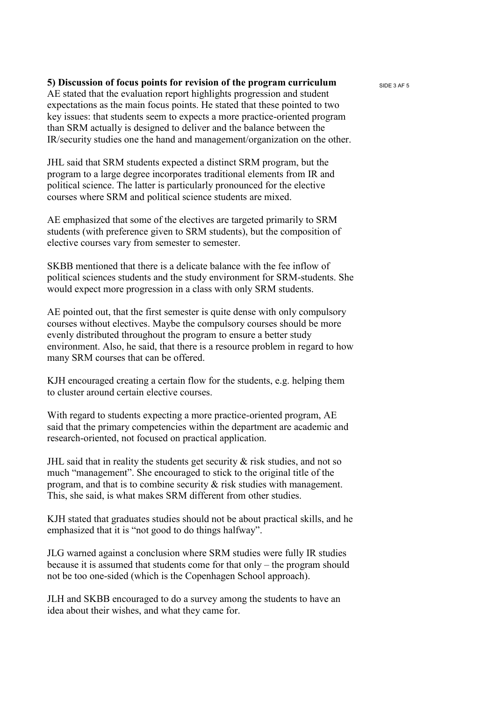### **5**) Discussion of focus points for revision of the program curriculum side 3 AF 5

AE stated that the evaluation report highlights progression and student expectations as the main focus points. He stated that these pointed to two key issues: that students seem to expects a more practice-oriented program than SRM actually is designed to deliver and the balance between the IR/security studies one the hand and management/organization on the other.

JHL said that SRM students expected a distinct SRM program, but the program to a large degree incorporates traditional elements from IR and political science. The latter is particularly pronounced for the elective courses where SRM and political science students are mixed.

AE emphasized that some of the electives are targeted primarily to SRM students (with preference given to SRM students), but the composition of elective courses vary from semester to semester.

SKBB mentioned that there is a delicate balance with the fee inflow of political sciences students and the study environment for SRM-students. She would expect more progression in a class with only SRM students.

AE pointed out, that the first semester is quite dense with only compulsory courses without electives. Maybe the compulsory courses should be more evenly distributed throughout the program to ensure a better study environment. Also, he said, that there is a resource problem in regard to how many SRM courses that can be offered.

KJH encouraged creating a certain flow for the students, e.g. helping them to cluster around certain elective courses.

With regard to students expecting a more practice-oriented program, AE said that the primary competencies within the department are academic and research-oriented, not focused on practical application.

JHL said that in reality the students get security  $\&$  risk studies, and not so much "management". She encouraged to stick to the original title of the program, and that is to combine security & risk studies with management. This, she said, is what makes SRM different from other studies.

KJH stated that graduates studies should not be about practical skills, and he emphasized that it is "not good to do things halfway".

JLG warned against a conclusion where SRM studies were fully IR studies because it is assumed that students come for that only – the program should not be too one-sided (which is the Copenhagen School approach).

JLH and SKBB encouraged to do a survey among the students to have an idea about their wishes, and what they came for.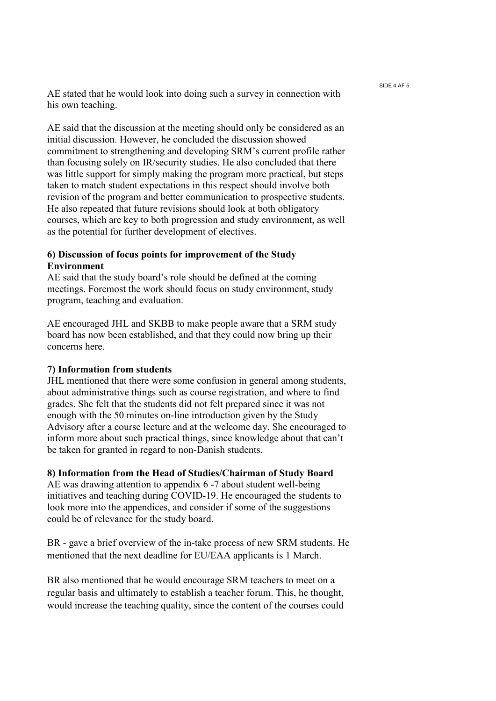SIDE 4 AF 5

AE stated that he would look into doing such a survey in connection with his own teaching.

AE said that the discussion at the meeting should only be considered as an initial discussion. However, he concluded the discussion showed commitment to strengthening and developing SRM's current profile rather than focusing solely on IR/security studies. He also concluded that there was little support for simply making the program more practical, but steps taken to match student expectations in this respect should involve both revision of the program and better communication to prospective students. He also repeated that future revisions should look at both obligatory courses, which are key to both progression and study environment, as well as the potential for further development of electives.

### **6) Discussion of focus points for improvement of the Study Environment**

AE said that the study board's role should be defined at the coming meetings. Foremost the work should focus on study environment, study program, teaching and evaluation.

AE encouraged JHL and SKBB to make people aware that a SRM study board has now been established, and that they could now bring up their concerns here.

### **7) Information from students**

JHL mentioned that there were some confusion in general among students, about administrative things such as course registration, and where to find grades. She felt that the students did not felt prepared since it was not enough with the 50 minutes on-line introduction given by the Study Advisory after a course lecture and at the welcome day. She encouraged to inform more about such practical things, since knowledge about that can't be taken for granted in regard to non-Danish students.

### **8) Information from the Head of Studies/Chairman of Study Board**

AE was drawing attention to appendix 6 -7 about student well-being initiatives and teaching during COVID-19. He encouraged the students to look more into the appendices, and consider if some of the suggestions could be of relevance for the study board.

BR - gave a brief overview of the in-take process of new SRM students. He mentioned that the next deadline for EU/EAA applicants is 1 March.

BR also mentioned that he would encourage SRM teachers to meet on a regular basis and ultimately to establish a teacher forum. This, he thought, would increase the teaching quality, since the content of the courses could